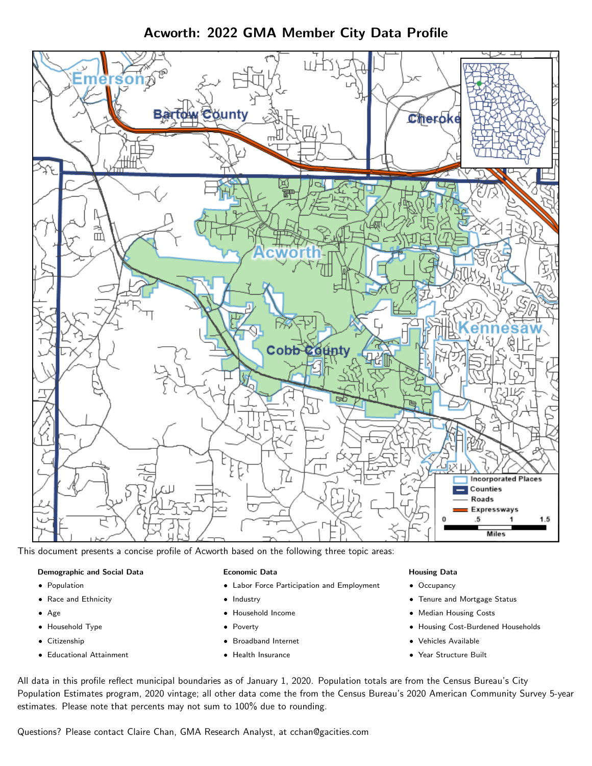

Acworth: 2022 GMA Member City Data Profile

This document presents a concise profile of Acworth based on the following three topic areas:

#### Demographic and Social Data

- **•** Population
- Race and Ethnicity
- Age
- Household Type
- **Citizenship**
- Educational Attainment

### Economic Data

- Labor Force Participation and Employment
- Industry
- Household Income
- Poverty
- Broadband Internet
- Health Insurance

### Housing Data

- Occupancy
- Tenure and Mortgage Status
- Median Housing Costs
- Housing Cost-Burdened Households
- Vehicles Available
- Year Structure Built

All data in this profile reflect municipal boundaries as of January 1, 2020. Population totals are from the Census Bureau's City Population Estimates program, 2020 vintage; all other data come the from the Census Bureau's 2020 American Community Survey 5-year estimates. Please note that percents may not sum to 100% due to rounding.

Questions? Please contact Claire Chan, GMA Research Analyst, at [cchan@gacities.com.](mailto:cchan@gacities.com)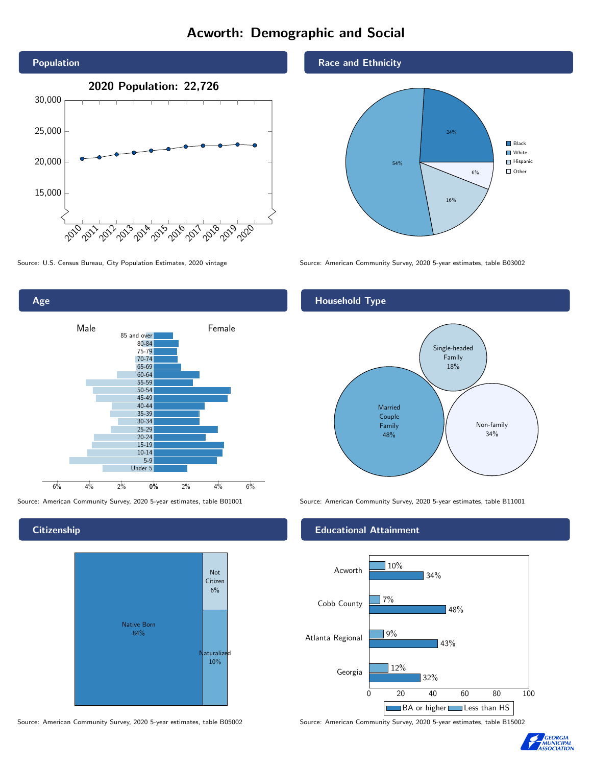# Acworth: Demographic and Social



Age 0% 2% 4% 6% Male **Female** 6% 4% 2% 85 and over 80-84 75-79 70-74 65-69 60-64 55-59 50-54 45-49 40-44 35-39 30-34 25-29 20-24 15-19  $10-14$ 5-9 Under 5

**Citizenship** 



Source: American Community Survey, 2020 5-year estimates, table B05002 Source: American Community Survey, 2020 5-year estimates, table B15002

Race and Ethnicity



Source: U.S. Census Bureau, City Population Estimates, 2020 vintage Source: American Community Survey, 2020 5-year estimates, table B03002

## Household Type



Source: American Community Survey, 2020 5-year estimates, table B01001 Source: American Community Survey, 2020 5-year estimates, table B11001

### Educational Attainment



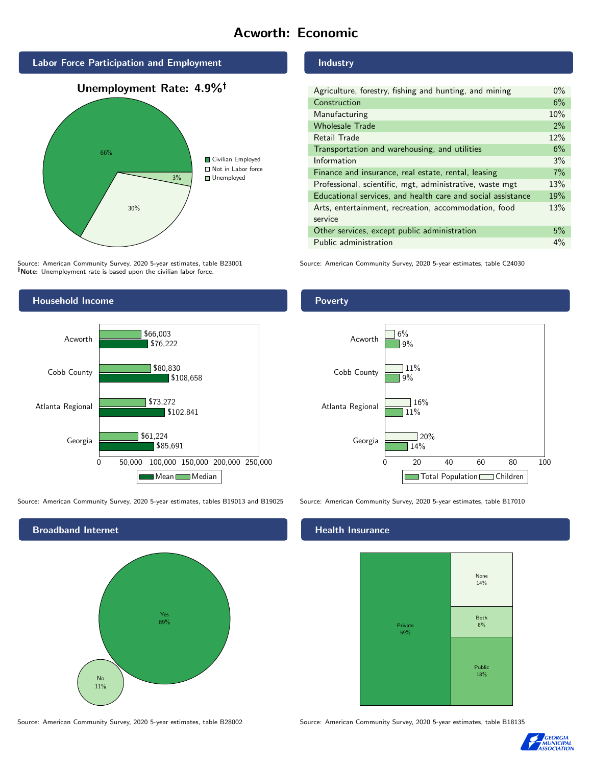# Acworth: Economic



Source: American Community Survey, 2020 5-year estimates, table B23001 Note: Unemployment rate is based upon the civilian labor force.



Source: American Community Survey, 2020 5-year estimates, tables B19013 and B19025 Source: American Community Survey, 2020 5-year estimates, table B17010



#### Industry

| Agriculture, forestry, fishing and hunting, and mining      | $0\%$ |
|-------------------------------------------------------------|-------|
| Construction                                                | 6%    |
| Manufacturing                                               | 10%   |
| <b>Wholesale Trade</b>                                      | 2%    |
| Retail Trade                                                | 12%   |
| Transportation and warehousing, and utilities               | 6%    |
| Information                                                 | 3%    |
| Finance and insurance, real estate, rental, leasing         | 7%    |
| Professional, scientific, mgt, administrative, waste mgt    | 13%   |
| Educational services, and health care and social assistance | 19%   |
| Arts, entertainment, recreation, accommodation, food        | 13%   |
| service                                                     |       |
| Other services, except public administration                | 5%    |
| Public administration                                       | $4\%$ |

Source: American Community Survey, 2020 5-year estimates, table C24030

## Poverty



# **Health Insurance**



Source: American Community Survey, 2020 5-year estimates, table B28002 Source: American Community Survey, 2020 5-year estimates, table B18135